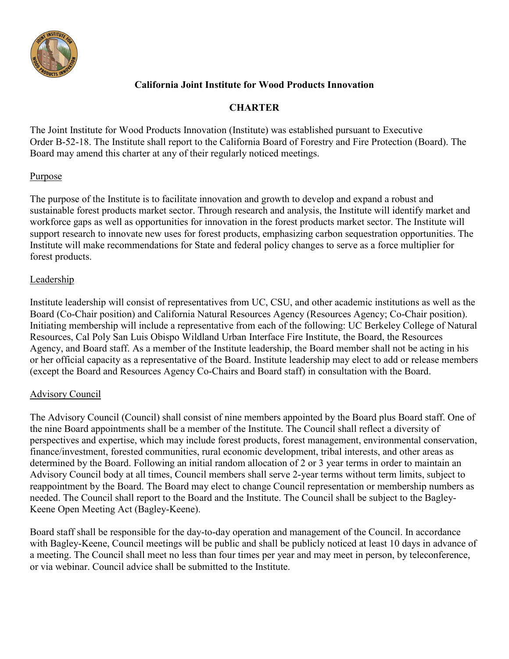

## **California Joint Institute for Wood Products Innovation**

## **CHARTER**

The Joint Institute for Wood Products Innovation (Institute) was established pursuant to Executive Order B-52-18. The Institute shall report to the California Board of Forestry and Fire Protection (Board). The Board may amend this charter at any of their regularly noticed meetings.

#### **Purpose**

The purpose of the Institute is to facilitate innovation and growth to develop and expand a robust and sustainable forest products market sector. Through research and analysis, the Institute will identify market and workforce gaps as well as opportunities for innovation in the forest products market sector. The Institute will support research to innovate new uses for forest products, emphasizing carbon sequestration opportunities. The Institute will make recommendations for State and federal policy changes to serve as a force multiplier for forest products.

#### Leadership

Institute leadership will consist of representatives from UC, CSU, and other academic institutions as well as the Board (Co-Chair position) and California Natural Resources Agency (Resources Agency; Co-Chair position). Initiating membership will include a representative from each of the following: UC Berkeley College of Natural Resources, Cal Poly San Luis Obispo Wildland Urban Interface Fire Institute, the Board, the Resources Agency, and Board staff. As a member of the Institute leadership, the Board member shall not be acting in his or her official capacity as a representative of the Board. Institute leadership may elect to add or release members (except the Board and Resources Agency Co-Chairs and Board staff) in consultation with the Board.

#### Advisory Council

The Advisory Council (Council) shall consist of nine members appointed by the Board plus Board staff. One of the nine Board appointments shall be a member of the Institute. The Council shall reflect a diversity of perspectives and expertise, which may include forest products, forest management, environmental conservation, finance/investment, forested communities, rural economic development, tribal interests, and other areas as determined by the Board. Following an initial random allocation of 2 or 3 year terms in order to maintain an Advisory Council body at all times, Council members shall serve 2-year terms without term limits, subject to reappointment by the Board. The Board may elect to change Council representation or membership numbers as needed. The Council shall report to the Board and the Institute. The Council shall be subject to the Bagley-Keene Open Meeting Act (Bagley-Keene).

Board staff shall be responsible for the day-to-day operation and management of the Council. In accordance with Bagley-Keene, Council meetings will be public and shall be publicly noticed at least 10 days in advance of a meeting. The Council shall meet no less than four times per year and may meet in person, by teleconference, or via webinar. Council advice shall be submitted to the Institute.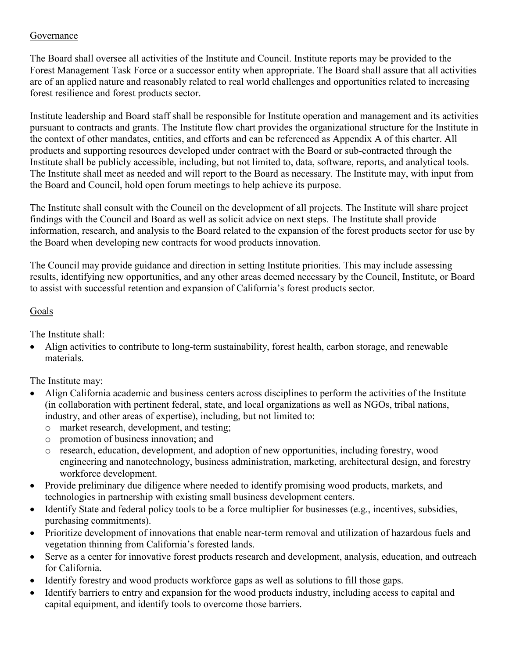## Governance

The Board shall oversee all activities of the Institute and Council. Institute reports may be provided to the Forest Management Task Force or a successor entity when appropriate. The Board shall assure that all activities are of an applied nature and reasonably related to real world challenges and opportunities related to increasing forest resilience and forest products sector.

Institute leadership and Board staff shall be responsible for Institute operation and management and its activities pursuant to contracts and grants. The Institute flow chart provides the organizational structure for the Institute in the context of other mandates, entities, and efforts and can be referenced as Appendix A of this charter. All products and supporting resources developed under contract with the Board or sub-contracted through the Institute shall be publicly accessible, including, but not limited to, data, software, reports, and analytical tools. The Institute shall meet as needed and will report to the Board as necessary. The Institute may, with input from the Board and Council, hold open forum meetings to help achieve its purpose.

The Institute shall consult with the Council on the development of all projects. The Institute will share project findings with the Council and Board as well as solicit advice on next steps. The Institute shall provide information, research, and analysis to the Board related to the expansion of the forest products sector for use by the Board when developing new contracts for wood products innovation.

The Council may provide guidance and direction in setting Institute priorities. This may include assessing results, identifying new opportunities, and any other areas deemed necessary by the Council, Institute, or Board to assist with successful retention and expansion of California's forest products sector.

# Goals

The Institute shall:

• Align activities to contribute to long-term sustainability, forest health, carbon storage, and renewable materials.

The Institute may:

- Align California academic and business centers across disciplines to perform the activities of the Institute (in collaboration with pertinent federal, state, and local organizations as well as NGOs, tribal nations, industry, and other areas of expertise), including, but not limited to:
	- o market research, development, and testing;
	- o promotion of business innovation; and
	- o research, education, development, and adoption of new opportunities, including forestry, wood engineering and nanotechnology, business administration, marketing, architectural design, and forestry workforce development.
- Provide preliminary due diligence where needed to identify promising wood products, markets, and technologies in partnership with existing small business development centers.
- Identify State and federal policy tools to be a force multiplier for businesses (e.g., incentives, subsidies, purchasing commitments).
- Prioritize development of innovations that enable near-term removal and utilization of hazardous fuels and vegetation thinning from California's forested lands.
- Serve as a center for innovative forest products research and development, analysis, education, and outreach for California.
- Identify forestry and wood products workforce gaps as well as solutions to fill those gaps.
- Identify barriers to entry and expansion for the wood products industry, including access to capital and capital equipment, and identify tools to overcome those barriers.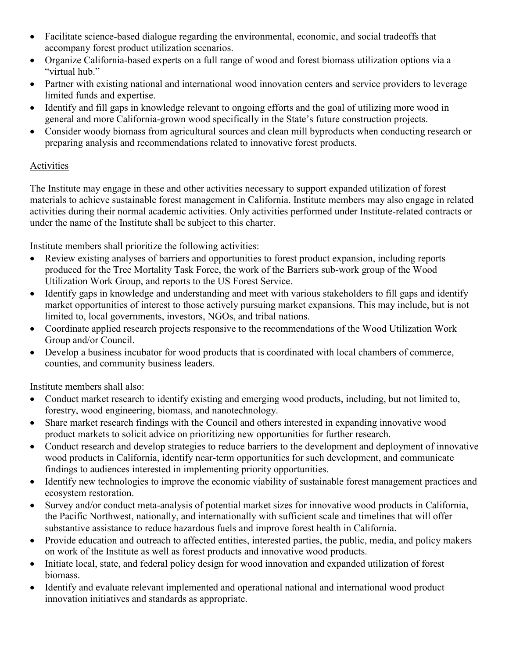- Facilitate science-based dialogue regarding the environmental, economic, and social tradeoffs that accompany forest product utilization scenarios.
- Organize California-based experts on a full range of wood and forest biomass utilization options via a "virtual hub."
- Partner with existing national and international wood innovation centers and service providers to leverage limited funds and expertise.
- Identify and fill gaps in knowledge relevant to ongoing efforts and the goal of utilizing more wood in general and more California-grown wood specifically in the State's future construction projects.
- Consider woody biomass from agricultural sources and clean mill byproducts when conducting research or preparing analysis and recommendations related to innovative forest products.

## Activities

The Institute may engage in these and other activities necessary to support expanded utilization of forest materials to achieve sustainable forest management in California. Institute members may also engage in related activities during their normal academic activities. Only activities performed under Institute-related contracts or under the name of the Institute shall be subject to this charter.

Institute members shall prioritize the following activities:

- Review existing analyses of barriers and opportunities to forest product expansion, including reports produced for the Tree Mortality Task Force, the work of the Barriers sub-work group of the Wood Utilization Work Group, and reports to the US Forest Service.
- Identify gaps in knowledge and understanding and meet with various stakeholders to fill gaps and identify market opportunities of interest to those actively pursuing market expansions. This may include, but is not limited to, local governments, investors, NGOs, and tribal nations.
- Coordinate applied research projects responsive to the recommendations of the Wood Utilization Work Group and/or Council.
- Develop a business incubator for wood products that is coordinated with local chambers of commerce, counties, and community business leaders.

Institute members shall also:

- Conduct market research to identify existing and emerging wood products, including, but not limited to, forestry, wood engineering, biomass, and nanotechnology.
- Share market research findings with the Council and others interested in expanding innovative wood product markets to solicit advice on prioritizing new opportunities for further research.
- Conduct research and develop strategies to reduce barriers to the development and deployment of innovative wood products in California, identify near-term opportunities for such development, and communicate findings to audiences interested in implementing priority opportunities.
- Identify new technologies to improve the economic viability of sustainable forest management practices and ecosystem restoration.
- Survey and/or conduct meta-analysis of potential market sizes for innovative wood products in California, the Pacific Northwest, nationally, and internationally with sufficient scale and timelines that will offer substantive assistance to reduce hazardous fuels and improve forest health in California.
- Provide education and outreach to affected entities, interested parties, the public, media, and policy makers on work of the Institute as well as forest products and innovative wood products.
- Initiate local, state, and federal policy design for wood innovation and expanded utilization of forest biomass.
- Identify and evaluate relevant implemented and operational national and international wood product innovation initiatives and standards as appropriate.